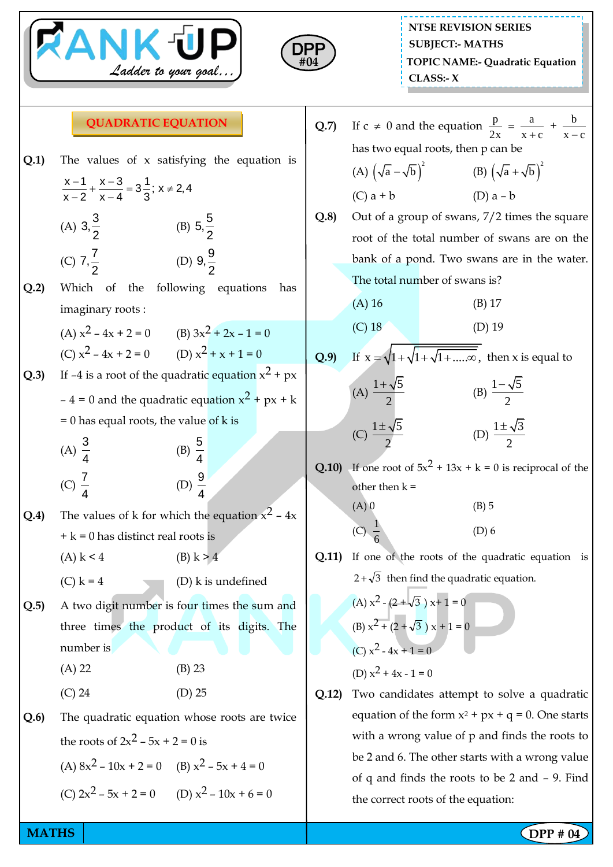



## **QUADRATIC EQUATION**

- **Q.1)** The values of x satisfying the equation is  $\frac{-1}{2} + \frac{x-3}{x-4} = 3\frac{1}{2}$ ;  $x \ne 2$ ,  $\frac{-}{-2} + \frac{1}{x-4}$  $\frac{x-1}{x-2} + \frac{x-3}{x-4} = 3\frac{1}{2}$ ;  $x \ne 2,4$  $\frac{x}{x-2} + \frac{x}{x-4} = 3\frac{1}{3}$ (A)  $3,\frac{3}{5}$ 2 (B)  $5,\frac{5}{5}$ 2  $(C)$  7,  $\frac{7}{2}$ 2 (D)  $9, \frac{9}{9}$ 2 **Q.2)** Which of the following equations has imaginary roots : (A)  $x^2 - 4x + 2 = 0$  (B)  $3x^2 + 2x - 1 = 0$ (C)  $x^2 - 4x + 2 = 0$  (D)  $x^2 + x + 1 = 0$ **Q.3)** If –4 is a root of the quadratic equation  $x^2 + px$ – 4 = 0 and the quadratic equation  $x^2 + px + k$  $= 0$  has equal roots, the value of k is (A) 3 4 (B) 5 4 (C) 7 4 (D) 9 4 **Q.4)** The values of k for which the equation  $x^2 - 4x$  $+ k = 0$  has distinct real roots is (A)  $k < 4$  (B)  $k > 4$ (C)  $k = 4$  (D) k is undefined **Q.5)** A two digit number is four times the sum and three times the product of its digits. The number is (A) 22 (B) 23 (C) 24 (D) 25 **Q.6)** The quadratic equation whose roots are twice the roots of  $2x^2 - 5x + 2 = 0$  is (A)  $8x^2 - 10x + 2 = 0$  (B)  $x^2 - 5x + 4 = 0$ (C)  $2x^2 - 5x + 2 = 0$  (D)  $x^2 - 10x + 6 = 0$
- $Q.7$ )  $\neq 0$  and the equation  $\frac{p}{2} = \frac{a}{2}$  $2x \t x + c$  $=$  $\frac{a}{+c} + \frac{b}{x-}$  $x - c$ has two equal roots, then p can be (A)  $(\sqrt{a} - \sqrt{b})^2$  $\overline{a} - \sqrt{b}$ )<sup>2</sup> (B)  $(\sqrt{a} + \sqrt{b})^2$ (C)  $a + b$  (D)  $a - b$ **Q.8)** Out of a group of swans, 7/2 times the square
- root of the total number of swans are on the bank of a pond. Two swans are in the water. The total number of swans is?

(A) 16 (B) 17 (C) 18 (D) 19

- **Q.9**) If  $x = \sqrt{1 + \sqrt{1 + \sqrt{1 + \dots \infty}}}$ , then x is equal to (A)  $1 + \sqrt{5}$ 2  $\overline{+}$ (B)  $1 - \sqrt{5}$ 2  $\overline{a}$ (C)  $1 \pm \sqrt{5}$ 2  $\pm$ (D)  $1 \pm \sqrt{3}$ 2  $\pm$
- **Q.10)** If one root of  $5x^2 + 13x + k = 0$  is reciprocal of the other then  $k =$

(A) 0  
\n(B) 5  
\n(C) 
$$
\frac{1}{6}
$$
  
\n(D) 6

**Q.11)** If one of the roots of the quadratic equation is  $2 + \sqrt{3}$  then find the quadratic equation.

(A) 
$$
x^2 - (2 + \sqrt{3}) x + 1 = 0
$$
  
\n(B)  $x^2 + (2 + \sqrt{3}) x + 1 = 0$   
\n(C)  $x^2 - 4x + 1 = 0$   
\n(D)  $x^2 + 4x - 1 = 0$ 

**Q.12)** Two candidates attempt to solve a quadratic equation of the form  $x^2 + px + q = 0$ . One starts with a wrong value of p and finds the roots to be 2 and 6. The other starts with a wrong value of q and finds the roots to be 2 and – 9. Find the correct roots of the equation: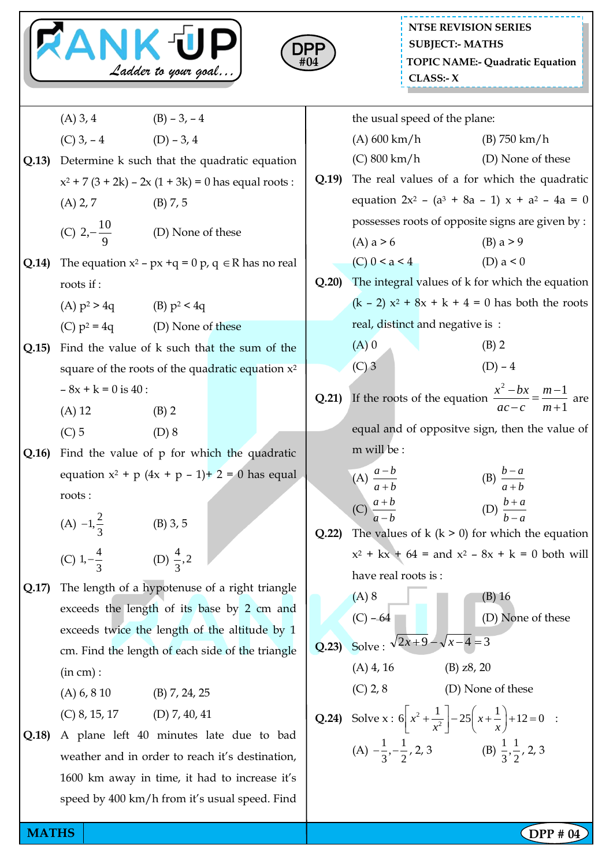|  |                     | Ц |
|--|---------------------|---|
|  | Ladder to your goal |   |



|       | (A) 3, 4 		 (B) $-3$ , $-4$                                                                        |                                                     |  |             |                                                    | the usual speed of the plane:                        |                                                                             |                                                                                                         |  |
|-------|----------------------------------------------------------------------------------------------------|-----------------------------------------------------|--|-------------|----------------------------------------------------|------------------------------------------------------|-----------------------------------------------------------------------------|---------------------------------------------------------------------------------------------------------|--|
| Q.13) | (C) $3, -4$ (D) $-3, 4$                                                                            |                                                     |  |             | (A) 600 km/h                                       |                                                      |                                                                             | $(B)$ 750 km/h                                                                                          |  |
|       |                                                                                                    | Determine k such that the quadratic equation        |  |             | $(C) 800 \text{ km/h}$                             |                                                      |                                                                             | (D) None of these                                                                                       |  |
|       | $x^2$ + 7 (3 + 2k) – 2x (1 + 3k) = 0 has equal roots :                                             |                                                     |  | Q.19        | The real values of a for which the quadratic       |                                                      |                                                                             |                                                                                                         |  |
|       | $(A)$ 2, 7                                                                                         | (B) 7, 5                                            |  |             |                                                    |                                                      |                                                                             | equation $2x^2 - (a^3 + 8a - 1) x + a^2 - 4a = 0$                                                       |  |
|       | (C) $2, -\frac{10}{9}$ (D) None of these                                                           |                                                     |  |             |                                                    |                                                      |                                                                             | possesses roots of opposite signs are given by :                                                        |  |
|       |                                                                                                    |                                                     |  |             | (A) $a > 6$                                        |                                                      |                                                                             | (B) $a > 9$                                                                                             |  |
| Q.14) | The equation $x^2$ – $px +q = 0 p$ , $q \in R$ has no real                                         |                                                     |  |             | (C) $0 \le a \le 4$                                |                                                      |                                                                             | (D) $a < 0$                                                                                             |  |
|       | roots if:                                                                                          |                                                     |  | Q.20        |                                                    |                                                      |                                                                             | The integral values of k for which the equation                                                         |  |
|       | (A) $p^2 > 4q$ (B) $p^2 < 4q$                                                                      |                                                     |  |             |                                                    |                                                      |                                                                             | $(k - 2) x2 + 8x + k + 4 = 0$ has both the roots                                                        |  |
|       |                                                                                                    | (C) $p^2 = 4q$ (D) None of these                    |  |             | real, distinct and negative is :                   |                                                      |                                                                             |                                                                                                         |  |
| Q.15  |                                                                                                    | Find the value of k such that the sum of the        |  |             | $(A)$ 0                                            |                                                      |                                                                             | $(B)$ 2                                                                                                 |  |
|       |                                                                                                    | square of the roots of the quadratic equation $x^2$ |  |             | $(C)$ 3                                            |                                                      |                                                                             | $(D) - 4$                                                                                               |  |
|       | $-8x + k = 0$ is 40 :                                                                              |                                                     |  | Q.21)       |                                                    |                                                      |                                                                             | If the roots of the equation $\frac{x^2 - bx}{ac - c} = \frac{m-1}{m+1}$ are                            |  |
|       | $(A)$ 12                                                                                           | $(B)$ 2                                             |  |             |                                                    |                                                      |                                                                             |                                                                                                         |  |
|       | $(C)$ 5                                                                                            | (D) 8                                               |  |             |                                                    |                                                      |                                                                             | equal and of oppositve sign, then the value of                                                          |  |
| Q.16  | Find the value of $p$ for which the quadratic<br>equation $x^2 + p (4x + p - 1) + 2 = 0$ has equal |                                                     |  | m will be : |                                                    |                                                      |                                                                             |                                                                                                         |  |
|       |                                                                                                    |                                                     |  |             | (A) $\frac{a-b}{a+b}$                              |                                                      |                                                                             | (B) $\frac{b-a}{a+b}$                                                                                   |  |
|       | roots:                                                                                             |                                                     |  |             |                                                    |                                                      |                                                                             |                                                                                                         |  |
|       | (A) $-1, \frac{2}{3}$                                                                              | $(B)$ 3, 5                                          |  |             | (C) $\frac{a+b}{a-b}$                              |                                                      |                                                                             | (D) $\frac{b+a}{b-a}$                                                                                   |  |
|       |                                                                                                    |                                                     |  | Q.22        |                                                    | The values of $k$ ( $k > 0$ ) for which the equation |                                                                             |                                                                                                         |  |
|       | (C) $1, -\frac{4}{3}$ (D) $\frac{4}{3}, 2$                                                         |                                                     |  |             | $x^2 + kx + 64 =$ and $x^2 - 8x + k = 0$ both will |                                                      |                                                                             |                                                                                                         |  |
| Q.17) | The length of a hypotenuse of a right triangle                                                     |                                                     |  |             | have real roots is:                                |                                                      |                                                                             |                                                                                                         |  |
|       | exceeds the length of its base by 2 cm and                                                         |                                                     |  |             | $(A)$ 8                                            |                                                      |                                                                             | $(B)$ 16                                                                                                |  |
|       | exceeds twice the length of the altitude by 1                                                      |                                                     |  |             | $(C) - 64$                                         |                                                      |                                                                             | (D) None of these                                                                                       |  |
|       | cm. Find the length of each side of the triangle                                                   |                                                     |  | Q.23        | Solve: $\sqrt{2x+9} - \sqrt{x-4} = 3$              |                                                      |                                                                             |                                                                                                         |  |
|       | (in cm):                                                                                           |                                                     |  |             | $(A)$ 4, 16                                        |                                                      | $(B)$ z $8$ , 20                                                            |                                                                                                         |  |
|       | (A) 6, 8 10                                                                                        | $(B)$ 7, 24, 25                                     |  |             | $(C)$ 2, 8                                         |                                                      |                                                                             | (D) None of these                                                                                       |  |
|       | $(C)$ 8, 15, 17 $(D)$ 7, 40, 41                                                                    |                                                     |  |             |                                                    |                                                      |                                                                             |                                                                                                         |  |
| Q.18  | A plane left 40 minutes late due to bad                                                            |                                                     |  |             |                                                    |                                                      |                                                                             | <b>Q.24</b> ) Solve x : $6\left[x^2 + \frac{1}{x^2}\right] - 25\left(x + \frac{1}{x}\right) + 12 = 0$ : |  |
|       | weather and in order to reach it's destination,                                                    |                                                     |  |             |                                                    |                                                      | (A) $-\frac{1}{3}, -\frac{1}{2}, 2, 3$ (B) $\frac{1}{3}, \frac{1}{2}, 2, 3$ |                                                                                                         |  |
|       | 1600 km away in time, it had to increase it's                                                      |                                                     |  |             |                                                    |                                                      |                                                                             |                                                                                                         |  |
|       |                                                                                                    | speed by 400 km/h from it's usual speed. Find       |  |             |                                                    |                                                      |                                                                             |                                                                                                         |  |
|       |                                                                                                    |                                                     |  |             |                                                    |                                                      |                                                                             |                                                                                                         |  |

**MATHS** DPP # 04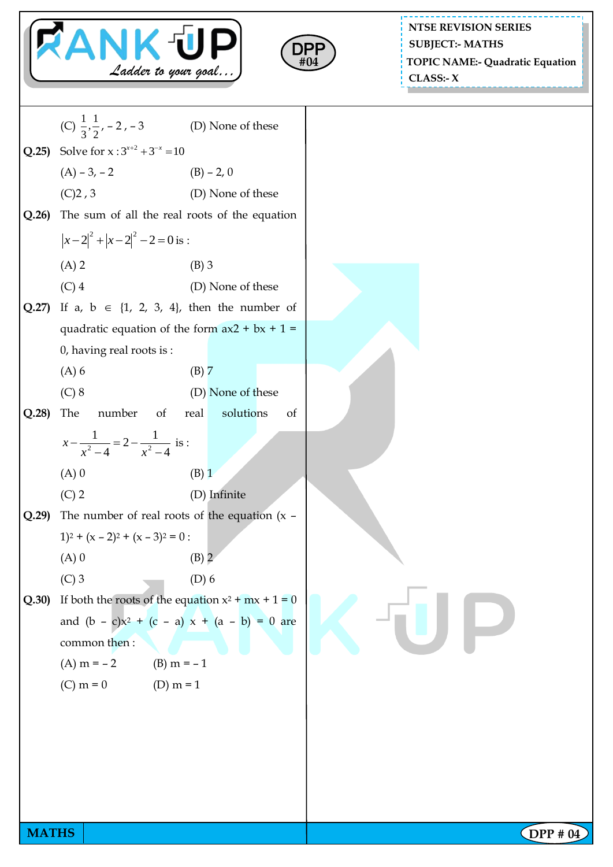